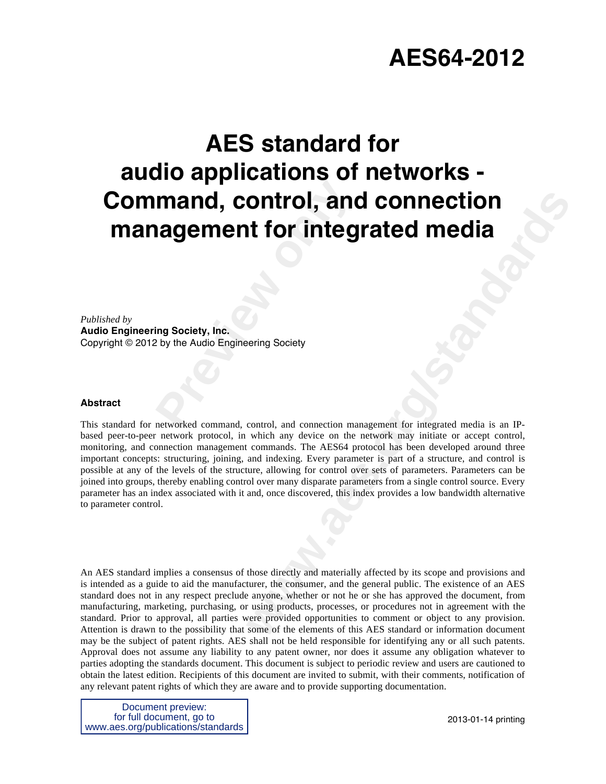# **AES64-2012**

# **Preview Control, and<br>
<b>Preview Andio Engineering Society**<br>
Preview the Audio Engineering Society<br>
Pretworked command, control, and connection mand **AES standard for audio applications of networks - Command, control, and connection management for integrated media**

*Published by* 

**Audio Engineering Society, Inc.** Copyright © 2012 by the Audio Engineering Society

## **Abstract**

**CONTREM CONTRECTION**<br> **the formal connection management for integrated media is an IP-**<br> **the formal standard connection management for integrated media is an IP-**<br>
which any device on the network may initiate or accept c This standard for networked command, control, and connection management for integrated media is an IPbased peer-to-peer network protocol, in which any device on the network may initiate or accept control, monitoring, and connection management commands. The AES64 protocol has been developed around three important concepts: structuring, joining, and indexing. Every parameter is part of a structure, and control is possible at any of the levels of the structure, allowing for control over sets of parameters. Parameters can be joined into groups, thereby enabling control over many disparate parameters from a single control source. Every parameter has an index associated with it and, once discovered, this index provides a low bandwidth alternative to parameter control.

An AES standard implies a consensus of those directly and materially affected by its scope and provisions and is intended as a guide to aid the manufacturer, the consumer, and the general public. The existence of an AES standard does not in any respect preclude anyone, whether or not he or she has approved the document, from manufacturing, marketing, purchasing, or using products, processes, or procedures not in agreement with the standard. Prior to approval, all parties were provided opportunities to comment or object to any provision. Attention is drawn to the possibility that some of the elements of this AES standard or information document may be the subject of patent rights. AES shall not be held responsible for identifying any or all such patents. Approval does not assume any liability to any patent owner, nor does it assume any obligation whatever to parties adopting the standards document. This document is subject to periodic review and users are cautioned to obtain the latest edition. Recipients of this document are invited to submit, with their comments, notification of any relevant patent rights of which they are aware and to provide supporting documentation.

Document preview: for full document, go to www.aes.org/publications/standards

2013-01-14 printing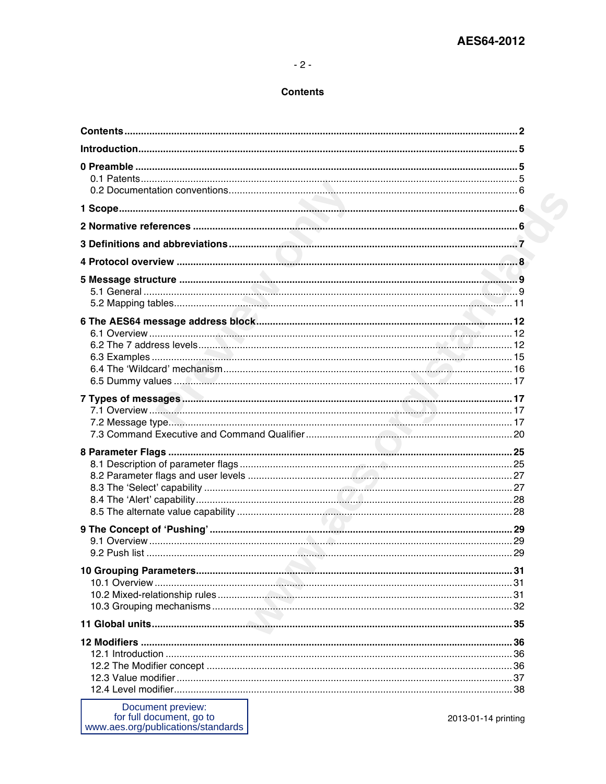## $-2-$

## **Contents**

| Document preview:<br>for full document, go to<br>www.aes.org/publications/standards | 2013-01-14 printing |
|-------------------------------------------------------------------------------------|---------------------|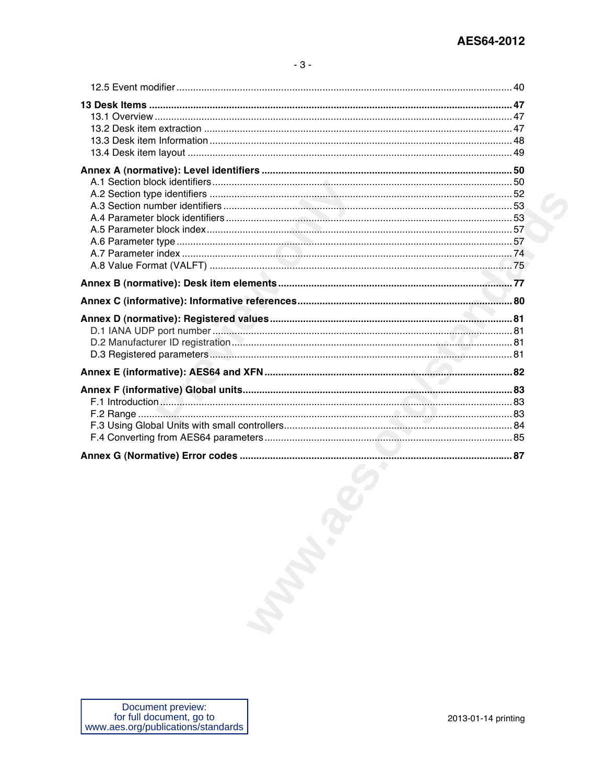| <b>Mandales</b> |  |
|-----------------|--|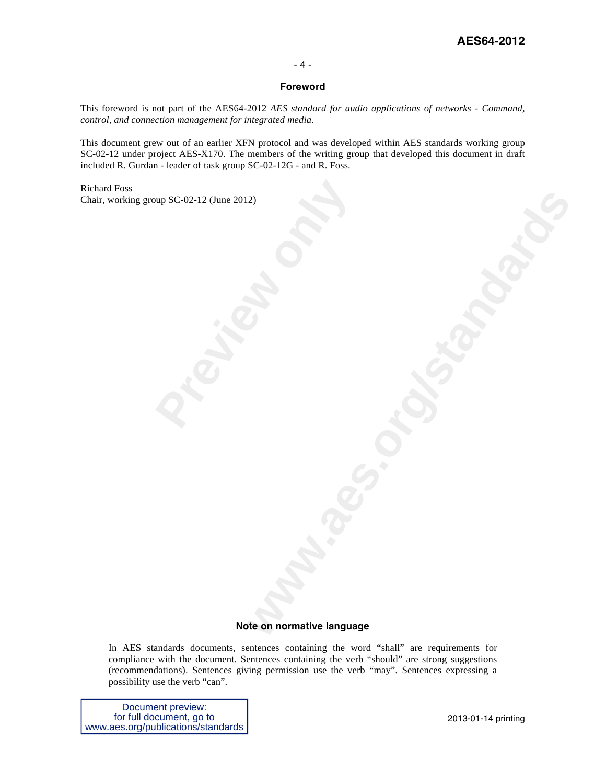## **AES64-2012**

### - 4 -

## **Foreword**

This foreword is not part of the AES64-2012 *AES standard for audio applications of networks - Command, control, and connection management for integrated media*.

This document grew out of an earlier XFN protocol and was developed within AES standards working group SC-02-12 under project AES-X170. The members of the writing group that developed this document in draft included R. Gurdan - leader of task group SC-02-12G - and R. Foss.

**Provided by RC-02-12 (June 2012)**<br> **Provided by Previous Contract of Provided Services** Richard Foss Chair, working group SC-02-12 (June 2012)

# **www.aes.org/standards Note on normative language**

In AES standards documents, sentences containing the word "shall" are requirements for compliance with the document. Sentences containing the verb "should" are strong suggestions (recommendations). Sentences giving permission use the verb "may". Sentences expressing a possibility use the verb "can".

Document preview: for full document, go to www.aes.org/publications/standards

2013-01-14 printing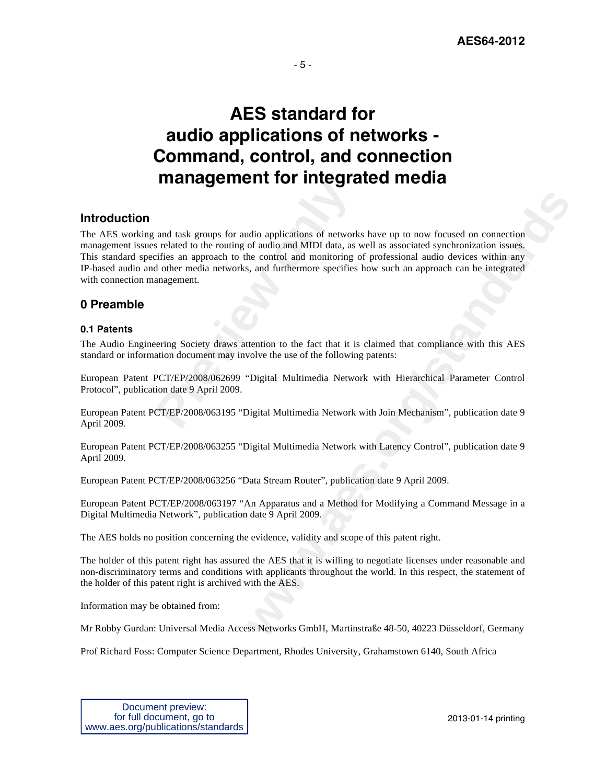

## **AES standard for audio applications of networks - Command, control, and connection management for integrated media**

## **Introduction**

and task groups for audio applications of networks related to the routing of audio and MIDI data, as eifies an approach to the control and monitoring of audio ther media networks, and furthermore specifies an<br>anagement.<br>Pe adio applications of networks have up to now focused on connection<br>of audio and MIDI data, as well as associated synchronization issues.<br>See, and monitoring of professional andio devices within any<br>s, and furthermore speci The AES working and task groups for audio applications of networks have up to now focused on connection management issues related to the routing of audio and MIDI data, as well as associated synchronization issues. This standard specifies an approach to the control and monitoring of professional audio devices within any IP-based audio and other media networks, and furthermore specifies how such an approach can be integrated with connection management.

## **0 Preamble**

## **0.1 Patents**

The Audio Engineering Society draws attention to the fact that it is claimed that compliance with this AES standard or information document may involve the use of the following patents:

European Patent PCT/EP/2008/062699 "Digital Multimedia Network with Hierarchical Parameter Control Protocol", publication date 9 April 2009.

European Patent PCT/EP/2008/063195 "Digital Multimedia Network with Join Mechanism", publication date 9 April 2009.

European Patent PCT/EP/2008/063255 "Digital Multimedia Network with Latency Control", publication date 9 April 2009.

European Patent PCT/EP/2008/063256 "Data Stream Router", publication date 9 April 2009.

European Patent PCT/EP/2008/063197 "An Apparatus and a Method for Modifying a Command Message in a Digital Multimedia Network", publication date 9 April 2009.

The AES holds no position concerning the evidence, validity and scope of this patent right.

The holder of this patent right has assured the AES that it is willing to negotiate licenses under reasonable and non-discriminatory terms and conditions with applicants throughout the world. In this respect, the statement of the holder of this patent right is archived with the AES.

Information may be obtained from:

Mr Robby Gurdan: Universal Media Access Networks GmbH, Martinstraße 48-50, 40223 Düsseldorf, Germany

Prof Richard Foss: Computer Science Department, Rhodes University, Grahamstown 6140, South Africa